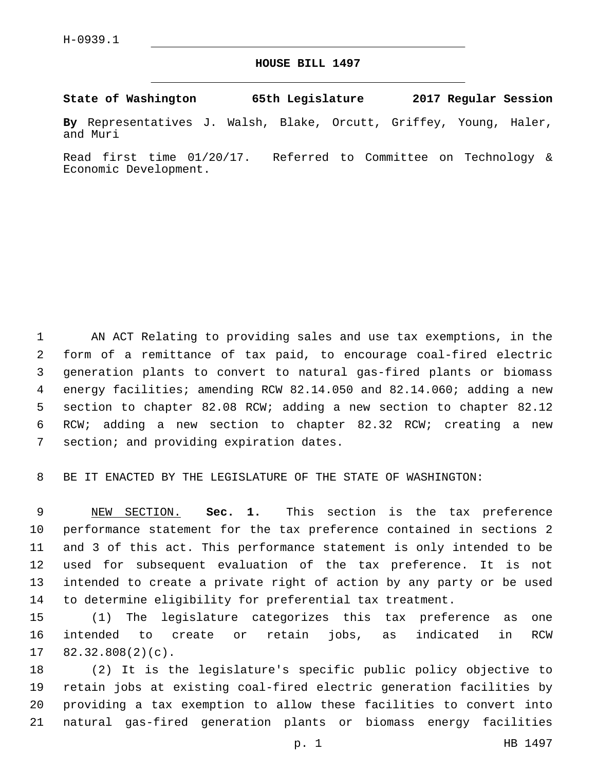**HOUSE BILL 1497**

**State of Washington 65th Legislature 2017 Regular Session**

**By** Representatives J. Walsh, Blake, Orcutt, Griffey, Young, Haler, and Muri

Read first time 01/20/17. Referred to Committee on Technology & Economic Development.

 AN ACT Relating to providing sales and use tax exemptions, in the form of a remittance of tax paid, to encourage coal-fired electric generation plants to convert to natural gas-fired plants or biomass energy facilities; amending RCW 82.14.050 and 82.14.060; adding a new section to chapter 82.08 RCW; adding a new section to chapter 82.12 RCW; adding a new section to chapter 82.32 RCW; creating a new 7 section; and providing expiration dates.

BE IT ENACTED BY THE LEGISLATURE OF THE STATE OF WASHINGTON:

 NEW SECTION. **Sec. 1.** This section is the tax preference performance statement for the tax preference contained in sections 2 and 3 of this act. This performance statement is only intended to be used for subsequent evaluation of the tax preference. It is not intended to create a private right of action by any party or be used to determine eligibility for preferential tax treatment.

 (1) The legislature categorizes this tax preference as one intended to create or retain jobs, as indicated in RCW  $17 \quad 82.32.808(2)(c)$ .

 (2) It is the legislature's specific public policy objective to retain jobs at existing coal-fired electric generation facilities by providing a tax exemption to allow these facilities to convert into natural gas-fired generation plants or biomass energy facilities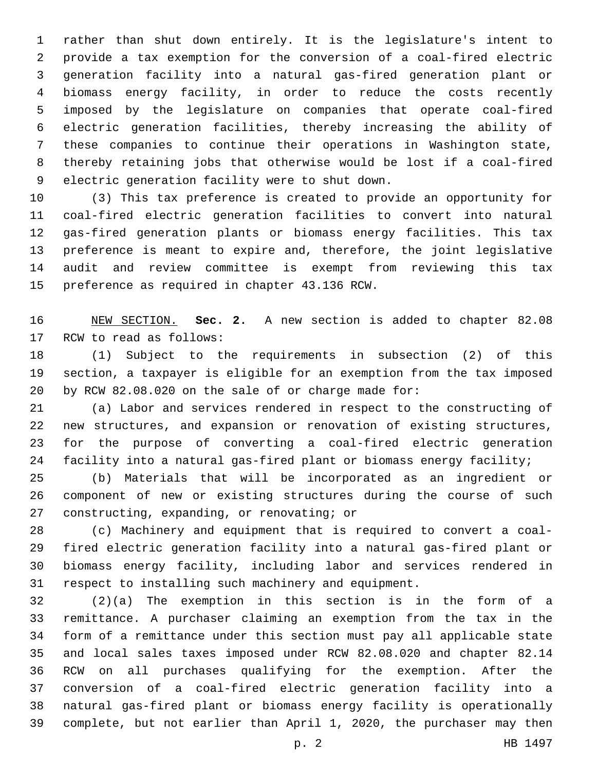rather than shut down entirely. It is the legislature's intent to provide a tax exemption for the conversion of a coal-fired electric generation facility into a natural gas-fired generation plant or biomass energy facility, in order to reduce the costs recently imposed by the legislature on companies that operate coal-fired electric generation facilities, thereby increasing the ability of these companies to continue their operations in Washington state, thereby retaining jobs that otherwise would be lost if a coal-fired 9 electric generation facility were to shut down.

 (3) This tax preference is created to provide an opportunity for coal-fired electric generation facilities to convert into natural gas-fired generation plants or biomass energy facilities. This tax preference is meant to expire and, therefore, the joint legislative audit and review committee is exempt from reviewing this tax 15 preference as required in chapter 43.136 RCW.

 NEW SECTION. **Sec. 2.** A new section is added to chapter 82.08 17 RCW to read as follows:

 (1) Subject to the requirements in subsection (2) of this section, a taxpayer is eligible for an exemption from the tax imposed by RCW 82.08.020 on the sale of or charge made for:

 (a) Labor and services rendered in respect to the constructing of new structures, and expansion or renovation of existing structures, for the purpose of converting a coal-fired electric generation facility into a natural gas-fired plant or biomass energy facility;

 (b) Materials that will be incorporated as an ingredient or component of new or existing structures during the course of such 27 constructing, expanding, or renovating; or

 (c) Machinery and equipment that is required to convert a coal- fired electric generation facility into a natural gas-fired plant or biomass energy facility, including labor and services rendered in respect to installing such machinery and equipment.

 (2)(a) The exemption in this section is in the form of a remittance. A purchaser claiming an exemption from the tax in the form of a remittance under this section must pay all applicable state and local sales taxes imposed under RCW 82.08.020 and chapter 82.14 RCW on all purchases qualifying for the exemption. After the conversion of a coal-fired electric generation facility into a natural gas-fired plant or biomass energy facility is operationally complete, but not earlier than April 1, 2020, the purchaser may then

p. 2 HB 1497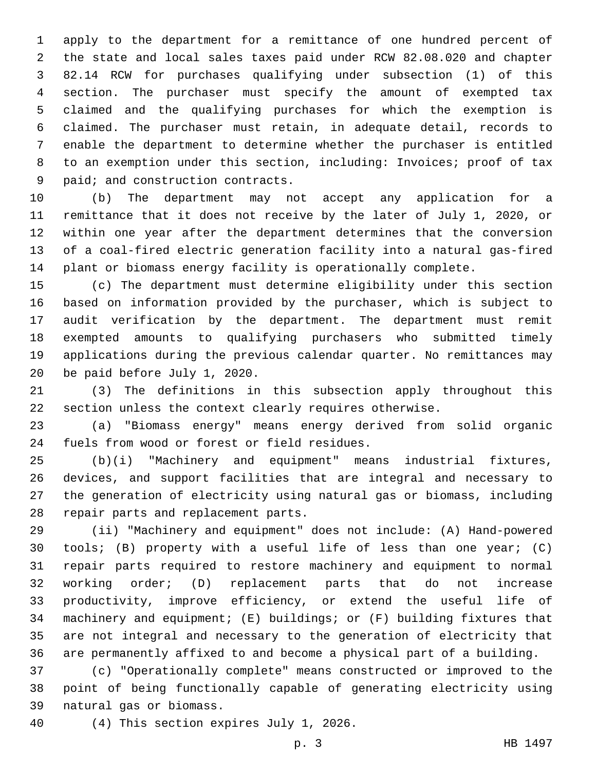apply to the department for a remittance of one hundred percent of the state and local sales taxes paid under RCW 82.08.020 and chapter 82.14 RCW for purchases qualifying under subsection (1) of this section. The purchaser must specify the amount of exempted tax claimed and the qualifying purchases for which the exemption is claimed. The purchaser must retain, in adequate detail, records to enable the department to determine whether the purchaser is entitled to an exemption under this section, including: Invoices; proof of tax 9 paid; and construction contracts.

 (b) The department may not accept any application for a remittance that it does not receive by the later of July 1, 2020, or within one year after the department determines that the conversion of a coal-fired electric generation facility into a natural gas-fired plant or biomass energy facility is operationally complete.

 (c) The department must determine eligibility under this section based on information provided by the purchaser, which is subject to audit verification by the department. The department must remit exempted amounts to qualifying purchasers who submitted timely applications during the previous calendar quarter. No remittances may 20 be paid before July 1, 2020.

 (3) The definitions in this subsection apply throughout this section unless the context clearly requires otherwise.

 (a) "Biomass energy" means energy derived from solid organic 24 fuels from wood or forest or field residues.

 (b)(i) "Machinery and equipment" means industrial fixtures, devices, and support facilities that are integral and necessary to the generation of electricity using natural gas or biomass, including 28 repair parts and replacement parts.

 (ii) "Machinery and equipment" does not include: (A) Hand-powered tools; (B) property with a useful life of less than one year; (C) repair parts required to restore machinery and equipment to normal working order; (D) replacement parts that do not increase productivity, improve efficiency, or extend the useful life of machinery and equipment; (E) buildings; or (F) building fixtures that are not integral and necessary to the generation of electricity that are permanently affixed to and become a physical part of a building.

 (c) "Operationally complete" means constructed or improved to the point of being functionally capable of generating electricity using 39 natural gas or biomass.

40 (4) This section expires July 1, 2026.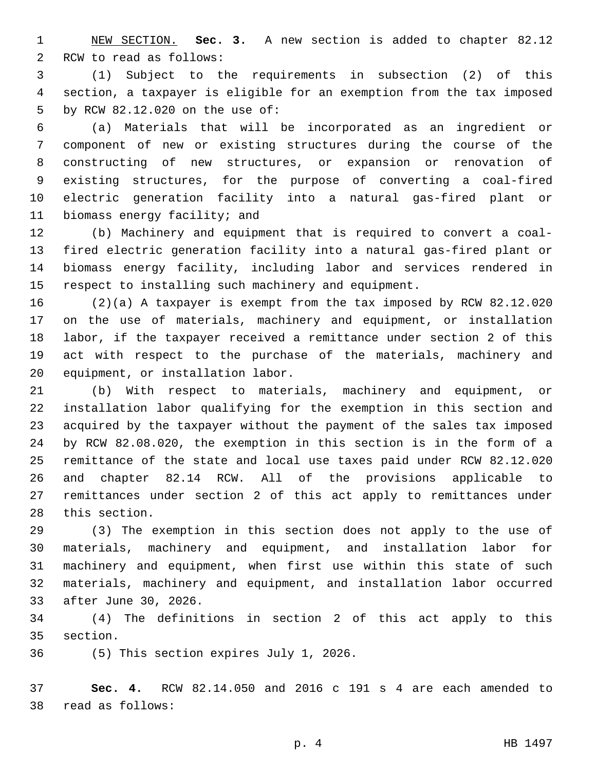NEW SECTION. **Sec. 3.** A new section is added to chapter 82.12 2 RCW to read as follows:

 (1) Subject to the requirements in subsection (2) of this section, a taxpayer is eligible for an exemption from the tax imposed 5 by RCW 82.12.020 on the use of:

 (a) Materials that will be incorporated as an ingredient or component of new or existing structures during the course of the constructing of new structures, or expansion or renovation of existing structures, for the purpose of converting a coal-fired electric generation facility into a natural gas-fired plant or 11 biomass energy facility; and

 (b) Machinery and equipment that is required to convert a coal- fired electric generation facility into a natural gas-fired plant or biomass energy facility, including labor and services rendered in respect to installing such machinery and equipment.

 (2)(a) A taxpayer is exempt from the tax imposed by RCW 82.12.020 on the use of materials, machinery and equipment, or installation labor, if the taxpayer received a remittance under section 2 of this act with respect to the purchase of the materials, machinery and 20 equipment, or installation labor.

 (b) With respect to materials, machinery and equipment, or installation labor qualifying for the exemption in this section and acquired by the taxpayer without the payment of the sales tax imposed by RCW 82.08.020, the exemption in this section is in the form of a remittance of the state and local use taxes paid under RCW 82.12.020 and chapter 82.14 RCW. All of the provisions applicable to remittances under section 2 of this act apply to remittances under 28 this section.

 (3) The exemption in this section does not apply to the use of materials, machinery and equipment, and installation labor for machinery and equipment, when first use within this state of such materials, machinery and equipment, and installation labor occurred 33 after June 30, 2026.

 (4) The definitions in section 2 of this act apply to this 35 section.

36 (5) This section expires July 1, 2026.

 **Sec. 4.** RCW 82.14.050 and 2016 c 191 s 4 are each amended to read as follows:38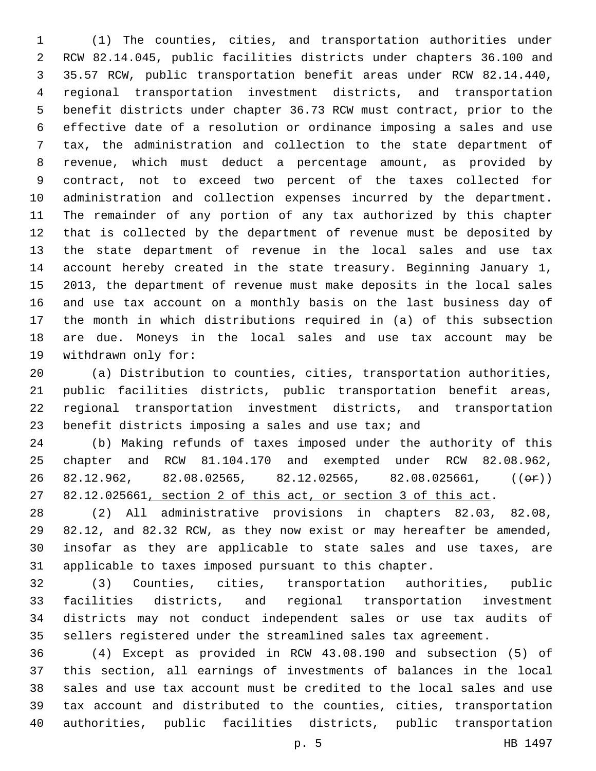(1) The counties, cities, and transportation authorities under RCW 82.14.045, public facilities districts under chapters 36.100 and 35.57 RCW, public transportation benefit areas under RCW 82.14.440, regional transportation investment districts, and transportation benefit districts under chapter 36.73 RCW must contract, prior to the effective date of a resolution or ordinance imposing a sales and use tax, the administration and collection to the state department of revenue, which must deduct a percentage amount, as provided by contract, not to exceed two percent of the taxes collected for administration and collection expenses incurred by the department. The remainder of any portion of any tax authorized by this chapter that is collected by the department of revenue must be deposited by the state department of revenue in the local sales and use tax account hereby created in the state treasury. Beginning January 1, 2013, the department of revenue must make deposits in the local sales and use tax account on a monthly basis on the last business day of the month in which distributions required in (a) of this subsection are due. Moneys in the local sales and use tax account may be 19 withdrawn only for:

 (a) Distribution to counties, cities, transportation authorities, public facilities districts, public transportation benefit areas, regional transportation investment districts, and transportation 23 benefit districts imposing a sales and use tax; and

 (b) Making refunds of taxes imposed under the authority of this chapter and RCW 81.104.170 and exempted under RCW 82.08.962, 26 82.12.962, 82.08.02565, 82.12.02565, 82.08.025661,  $((\theta \cdot \hat{r}))$ 82.12.025661, section 2 of this act, or section 3 of this act.

 (2) All administrative provisions in chapters 82.03, 82.08, 82.12, and 82.32 RCW, as they now exist or may hereafter be amended, insofar as they are applicable to state sales and use taxes, are applicable to taxes imposed pursuant to this chapter.

 (3) Counties, cities, transportation authorities, public facilities districts, and regional transportation investment districts may not conduct independent sales or use tax audits of sellers registered under the streamlined sales tax agreement.

 (4) Except as provided in RCW 43.08.190 and subsection (5) of this section, all earnings of investments of balances in the local sales and use tax account must be credited to the local sales and use tax account and distributed to the counties, cities, transportation authorities, public facilities districts, public transportation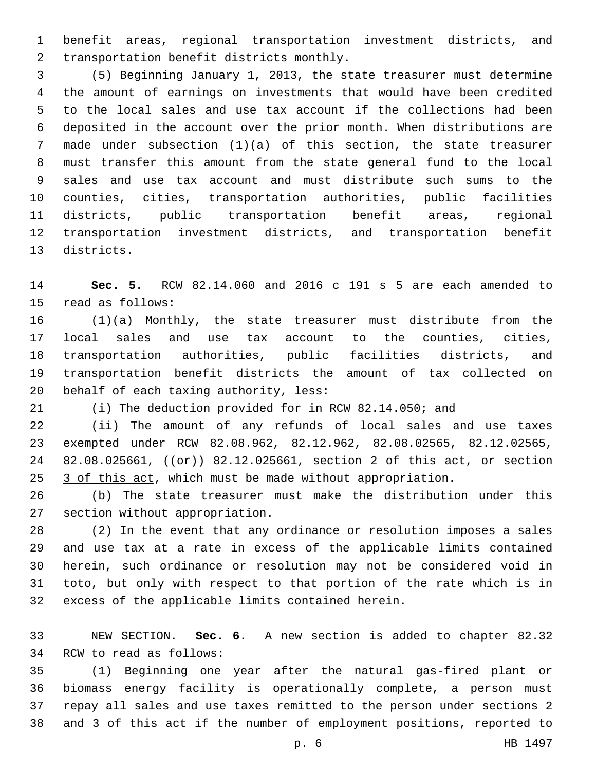benefit areas, regional transportation investment districts, and 2 transportation benefit districts monthly.

 (5) Beginning January 1, 2013, the state treasurer must determine the amount of earnings on investments that would have been credited to the local sales and use tax account if the collections had been deposited in the account over the prior month. When distributions are made under subsection (1)(a) of this section, the state treasurer must transfer this amount from the state general fund to the local sales and use tax account and must distribute such sums to the counties, cities, transportation authorities, public facilities districts, public transportation benefit areas, regional transportation investment districts, and transportation benefit 13 districts.

 **Sec. 5.** RCW 82.14.060 and 2016 c 191 s 5 are each amended to 15 read as follows:

 (1)(a) Monthly, the state treasurer must distribute from the local sales and use tax account to the counties, cities, transportation authorities, public facilities districts, and transportation benefit districts the amount of tax collected on 20 behalf of each taxing authority, less:

(i) The deduction provided for in RCW 82.14.050; and

 (ii) The amount of any refunds of local sales and use taxes exempted under RCW 82.08.962, 82.12.962, 82.08.02565, 82.12.02565, 82.08.025661, ((or)) 82.12.025661, section 2 of this act, or section 3 of this act, which must be made without appropriation.

 (b) The state treasurer must make the distribution under this 27 section without appropriation.

 (2) In the event that any ordinance or resolution imposes a sales and use tax at a rate in excess of the applicable limits contained herein, such ordinance or resolution may not be considered void in toto, but only with respect to that portion of the rate which is in 32 excess of the applicable limits contained herein.

 NEW SECTION. **Sec. 6.** A new section is added to chapter 82.32 34 RCW to read as follows:

 (1) Beginning one year after the natural gas-fired plant or biomass energy facility is operationally complete, a person must repay all sales and use taxes remitted to the person under sections 2 and 3 of this act if the number of employment positions, reported to